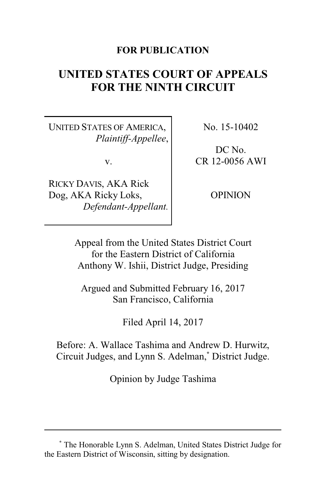# **FOR PUBLICATION**

# **UNITED STATES COURT OF APPEALS FOR THE NINTH CIRCUIT**

UNITED STATES OF AMERICA, *Plaintiff-Appellee*,

v.

RICKY DAVIS, AKA Rick Dog, AKA Ricky Loks, *Defendant-Appellant.* No. 15-10402

DC No. CR 12-0056 AWI

**OPINION** 

Appeal from the United States District Court for the Eastern District of California Anthony W. Ishii, District Judge, Presiding

Argued and Submitted February 16, 2017 San Francisco, California

Filed April 14, 2017

Before: A. Wallace Tashima and Andrew D. Hurwitz, Circuit Judges, and Lynn S. Adelman,**\*** District Judge.

Opinion by Judge Tashima

**<sup>\*</sup>** The Honorable Lynn S. Adelman, United States District Judge for the Eastern District of Wisconsin, sitting by designation.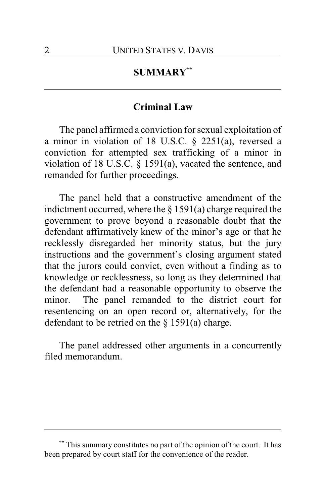# **SUMMARY\*\***

## **Criminal Law**

The panel affirmed a conviction for sexual exploitation of a minor in violation of 18 U.S.C. § 2251(a), reversed a conviction for attempted sex trafficking of a minor in violation of 18 U.S.C. § 1591(a), vacated the sentence, and remanded for further proceedings.

The panel held that a constructive amendment of the indictment occurred, where the  $\S 1591(a)$  charge required the government to prove beyond a reasonable doubt that the defendant affirmatively knew of the minor's age or that he recklessly disregarded her minority status, but the jury instructions and the government's closing argument stated that the jurors could convict, even without a finding as to knowledge or recklessness, so long as they determined that the defendant had a reasonable opportunity to observe the minor. The panel remanded to the district court for resentencing on an open record or, alternatively, for the defendant to be retried on the  $\S$  1591(a) charge.

The panel addressed other arguments in a concurrently filed memorandum.

**<sup>\*\*</sup>** This summary constitutes no part of the opinion of the court. It has been prepared by court staff for the convenience of the reader.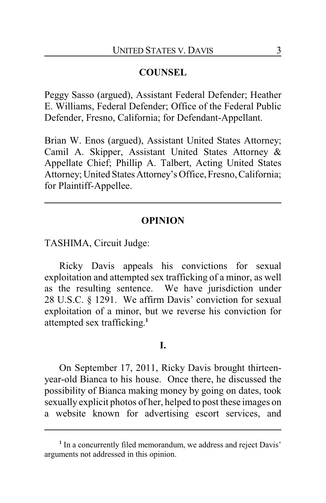# **COUNSEL**

Peggy Sasso (argued), Assistant Federal Defender; Heather E. Williams, Federal Defender; Office of the Federal Public Defender, Fresno, California; for Defendant-Appellant.

Brian W. Enos (argued), Assistant United States Attorney; Camil A. Skipper, Assistant United States Attorney & Appellate Chief; Phillip A. Talbert, Acting United States Attorney; United States Attorney's Office, Fresno, California; for Plaintiff-Appellee.

## **OPINION**

TASHIMA, Circuit Judge:

Ricky Davis appeals his convictions for sexual exploitation and attempted sex trafficking of a minor, as well as the resulting sentence. We have jurisdiction under 28 U.S.C. § 1291. We affirm Davis' conviction for sexual exploitation of a minor, but we reverse his conviction for attempted sex trafficking. **1**

#### **I.**

On September 17, 2011, Ricky Davis brought thirteenyear-old Bianca to his house. Once there, he discussed the possibility of Bianca making money by going on dates, took sexually explicit photos of her, helped to post these images on a website known for advertising escort services, and

<sup>&</sup>lt;sup>1</sup> In a concurrently filed memorandum, we address and reject Davis' arguments not addressed in this opinion.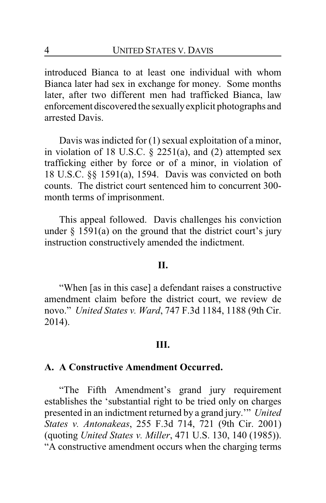introduced Bianca to at least one individual with whom Bianca later had sex in exchange for money. Some months later, after two different men had trafficked Bianca, law enforcement discovered the sexuallyexplicit photographs and arrested Davis.

Davis was indicted for (1) sexual exploitation of a minor, in violation of 18 U.S.C. § 2251(a), and (2) attempted sex trafficking either by force or of a minor, in violation of 18 U.S.C. §§ 1591(a), 1594. Davis was convicted on both counts. The district court sentenced him to concurrent 300 month terms of imprisonment.

This appeal followed. Davis challenges his conviction under  $\S$  1591(a) on the ground that the district court's jury instruction constructively amended the indictment.

#### **II.**

"When [as in this case] a defendant raises a constructive amendment claim before the district court, we review de novo." *United States v. Ward*, 747 F.3d 1184, 1188 (9th Cir. 2014).

## **III.**

#### **A. A Constructive Amendment Occurred.**

"The Fifth Amendment's grand jury requirement establishes the 'substantial right to be tried only on charges presented in an indictment returned by a grand jury.'" *United States v. Antonakeas*, 255 F.3d 714, 721 (9th Cir. 2001) (quoting *United States v. Miller*, 471 U.S. 130, 140 (1985)). "A constructive amendment occurs when the charging terms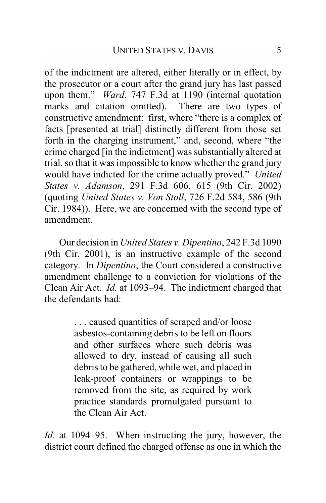of the indictment are altered, either literally or in effect, by the prosecutor or a court after the grand jury has last passed upon them." *Ward*, 747 F.3d at 1190 (internal quotation marks and citation omitted). There are two types of constructive amendment: first, where "there is a complex of facts [presented at trial] distinctly different from those set forth in the charging instrument," and, second, where "the crime charged [in the indictment] was substantially altered at trial, so that it was impossible to know whether the grand jury would have indicted for the crime actually proved." *United States v. Adamson*, 291 F.3d 606, 615 (9th Cir. 2002) (quoting *United States v. Von Stoll*, 726 F.2d 584, 586 (9th Cir. 1984)). Here, we are concerned with the second type of amendment.

Our decision in *United States v. Dipentino*, 242 F.3d 1090 (9th Cir. 2001), is an instructive example of the second category. In *Dipentino*, the Court considered a constructive amendment challenge to a conviction for violations of the Clean Air Act. *Id.* at 1093–94. The indictment charged that the defendants had:

> . . . caused quantities of scraped and/or loose asbestos-containing debris to be left on floors and other surfaces where such debris was allowed to dry, instead of causing all such debris to be gathered, while wet, and placed in leak-proof containers or wrappings to be removed from the site, as required by work practice standards promulgated pursuant to the Clean Air Act.

*Id.* at 1094–95. When instructing the jury, however, the district court defined the charged offense as one in which the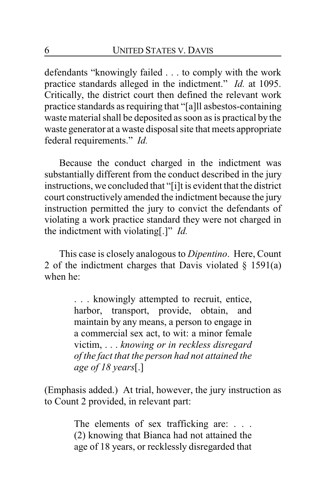defendants "knowingly failed . . . to comply with the work practice standards alleged in the indictment." *Id.* at 1095. Critically, the district court then defined the relevant work practice standards as requiring that "[a]ll asbestos-containing waste material shall be deposited as soon as is practical by the waste generator at a waste disposal site that meets appropriate federal requirements." *Id.*

Because the conduct charged in the indictment was substantially different from the conduct described in the jury instructions, we concluded that "[i]t is evident that the district court constructively amended the indictment because the jury instruction permitted the jury to convict the defendants of violating a work practice standard they were not charged in the indictment with violating[.]" *Id.*

This case is closely analogous to *Dipentino*. Here, Count 2 of the indictment charges that Davis violated  $\S$  1591(a) when he:

> . . . knowingly attempted to recruit, entice, harbor, transport, provide, obtain, and maintain by any means, a person to engage in a commercial sex act, to wit: a minor female victim, . . . *knowing or in reckless disregard of the fact that the person had not attained the age of 18 years*[.]

(Emphasis added.) At trial, however, the jury instruction as to Count 2 provided, in relevant part:

> The elements of sex trafficking are: . . . (2) knowing that Bianca had not attained the age of 18 years, or recklessly disregarded that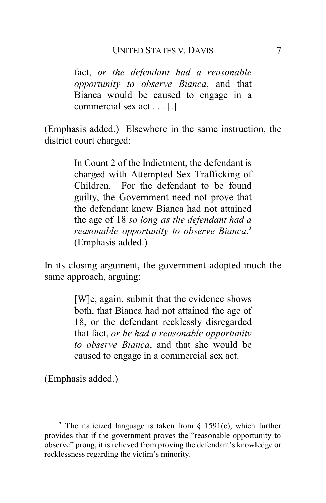fact, *or the defendant had a reasonable opportunity to observe Bianca*, and that Bianca would be caused to engage in a commercial sex act . . . [.]

(Emphasis added.) Elsewhere in the same instruction, the district court charged:

> In Count 2 of the Indictment, the defendant is charged with Attempted Sex Trafficking of Children. For the defendant to be found guilty, the Government need not prove that the defendant knew Bianca had not attained the age of 18 *so long as the defendant had a reasonable opportunity to observe Bianca*. **2** (Emphasis added.)

In its closing argument, the government adopted much the same approach, arguing:

> [W]e, again, submit that the evidence shows both, that Bianca had not attained the age of 18, or the defendant recklessly disregarded that fact, *or he had a reasonable opportunity to observe Bianca*, and that she would be caused to engage in a commercial sex act.

(Emphasis added.)

**<sup>2</sup>** The italicized language is taken from § 1591(c), which further provides that if the government proves the "reasonable opportunity to observe" prong, it is relieved from proving the defendant's knowledge or recklessness regarding the victim's minority.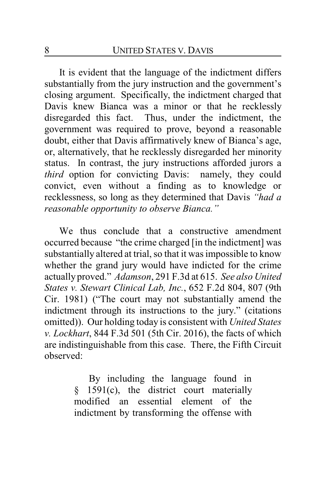It is evident that the language of the indictment differs substantially from the jury instruction and the government's closing argument. Specifically, the indictment charged that Davis knew Bianca was a minor or that he recklessly disregarded this fact. Thus, under the indictment, the government was required to prove, beyond a reasonable doubt, either that Davis affirmatively knew of Bianca's age, or, alternatively, that he recklessly disregarded her minority status. In contrast, the jury instructions afforded jurors a *third* option for convicting Davis: namely, they could convict, even without a finding as to knowledge or recklessness, so long as they determined that Davis *"had a reasonable opportunity to observe Bianca."*

We thus conclude that a constructive amendment occurred because "the crime charged [in the indictment] was substantially altered at trial, so that it was impossible to know whether the grand jury would have indicted for the crime actually proved." *Adamson*, 291 F.3d at 615. *See also United States v. Stewart Clinical Lab, Inc.*, 652 F.2d 804, 807 (9th Cir. 1981) ("The court may not substantially amend the indictment through its instructions to the jury." (citations omitted)). Our holding today is consistent with *United States v. Lockhart*, 844 F.3d 501 (5th Cir. 2016), the facts of which are indistinguishable from this case. There, the Fifth Circuit observed:

> By including the language found in  $§$  1591(c), the district court materially modified an essential element of the indictment by transforming the offense with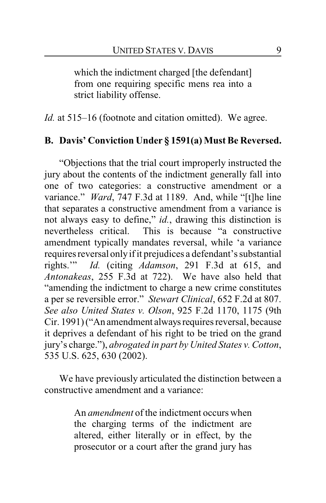which the indictment charged [the defendant] from one requiring specific mens rea into a strict liability offense.

*Id.* at 515–16 (footnote and citation omitted). We agree.

# **B. Davis' Conviction Under § 1591(a) Must Be Reversed.**

"Objections that the trial court improperly instructed the jury about the contents of the indictment generally fall into one of two categories: a constructive amendment or a variance." *Ward*, 747 F.3d at 1189. And, while "[t]he line that separates a constructive amendment from a variance is not always easy to define," *id.*, drawing this distinction is nevertheless critical. This is because "a constructive amendment typically mandates reversal, while 'a variance requires reversal onlyif it prejudices a defendant's substantial rights.'" *Id.* (citing *Adamson*, 291 F.3d at 615, and *Antonakeas*, 255 F.3d at 722). We have also held that "amending the indictment to charge a new crime constitutes a per se reversible error." *Stewart Clinical*, 652 F.2d at 807. *See also United States v. Olson*, 925 F.2d 1170, 1175 (9th Cir. 1991) ("An amendment always requires reversal, because it deprives a defendant of his right to be tried on the grand jury's charge."), *abrogated in part by United States v. Cotton*, 535 U.S. 625, 630 (2002).

We have previously articulated the distinction between a constructive amendment and a variance:

> An *amendment* of the indictment occurs when the charging terms of the indictment are altered, either literally or in effect, by the prosecutor or a court after the grand jury has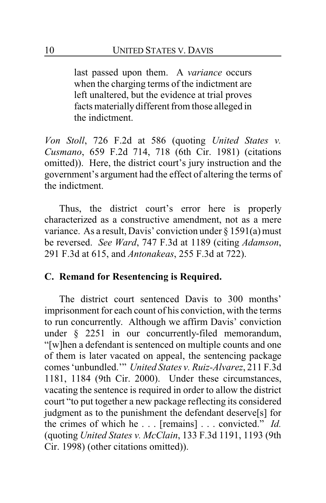last passed upon them. A *variance* occurs when the charging terms of the indictment are left unaltered, but the evidence at trial proves facts materially different from those alleged in the indictment.

*Von Stoll*, 726 F.2d at 586 (quoting *United States v. Cusmano*, 659 F.2d 714, 718 (6th Cir. 1981) (citations omitted)). Here, the district court's jury instruction and the government's argument had the effect of altering the terms of the indictment.

Thus, the district court's error here is properly characterized as a constructive amendment, not as a mere variance. As a result, Davis' conviction under § 1591(a) must be reversed. *See Ward*, 747 F.3d at 1189 (citing *Adamson*, 291 F.3d at 615, and *Antonakeas*, 255 F.3d at 722).

# **C. Remand for Resentencing is Required.**

The district court sentenced Davis to 300 months' imprisonment for each count of his conviction, with the terms to run concurrently. Although we affirm Davis' conviction under § 2251 in our concurrently-filed memorandum, "[w]hen a defendant is sentenced on multiple counts and one of them is later vacated on appeal, the sentencing package comes 'unbundled.'" *United States v. Ruiz-Alvarez*, 211 F.3d 1181, 1184 (9th Cir. 2000). Under these circumstances, vacating the sentence is required in order to allow the district court "to put together a new package reflecting its considered judgment as to the punishment the defendant deserve[s] for the crimes of which he . . . [remains] . . . convicted." *Id.* (quoting *United States v. McClain*, 133 F.3d 1191, 1193 (9th Cir. 1998) (other citations omitted)).